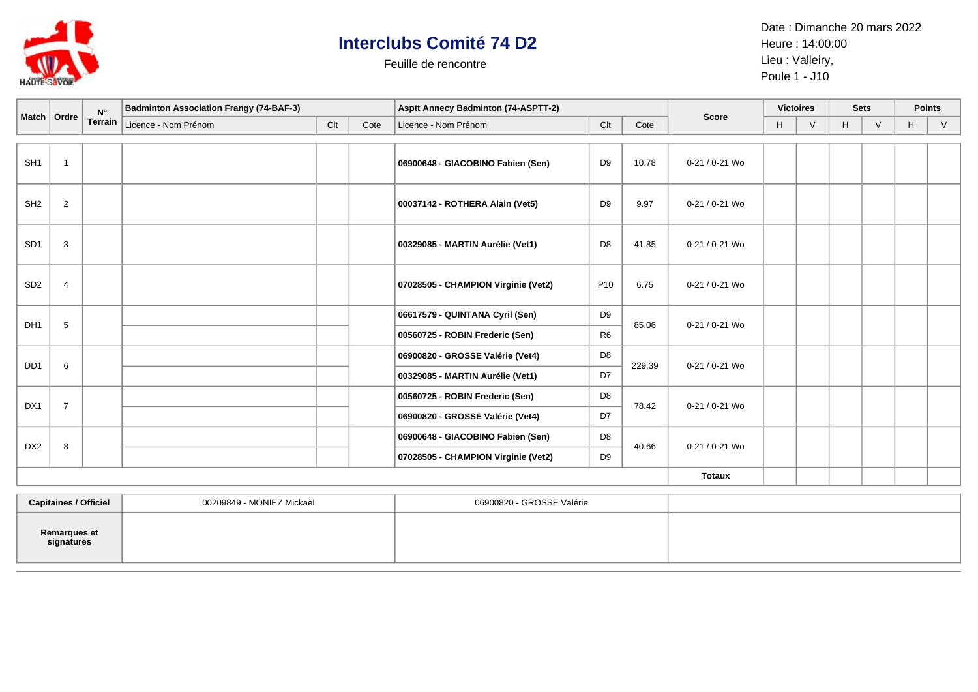

## **Interclubs Comité 74 D2**

Feuille de rencontre

Date : Dimanche 20 mars 2022 Heure : 14:00:00 Lieu : Valleiry, Poule 1 - J10

|                 | Match   Ordre  | $N^{\circ}$<br><b>Terrain</b> | <b>Badminton Association Frangy (74-BAF-3)</b> |     |      | <b>Asptt Annecy Badminton (74-ASPTT-2)</b> |                                           |                          |                | <b>Victoires</b> |        | <b>Sets</b> |        | <b>Points</b> |   |
|-----------------|----------------|-------------------------------|------------------------------------------------|-----|------|--------------------------------------------|-------------------------------------------|--------------------------|----------------|------------------|--------|-------------|--------|---------------|---|
|                 |                |                               | Licence - Nom Prénom                           | Clt | Cote | Licence - Nom Prénom                       | Clt                                       | Cote                     | <b>Score</b>   | H                | $\vee$ | Н           | $\vee$ | H             | V |
|                 |                |                               |                                                |     |      |                                            |                                           |                          |                |                  |        |             |        |               |   |
| SH <sub>1</sub> | $\overline{1}$ |                               |                                                |     |      | 06900648 - GIACOBINO Fabien (Sen)          | D <sub>9</sub>                            | 10.78                    | 0-21 / 0-21 Wo |                  |        |             |        |               |   |
| SH <sub>2</sub> | 2              |                               |                                                |     |      | 00037142 - ROTHERA Alain (Vet5)            | D <sub>9</sub>                            | 9.97                     | 0-21 / 0-21 Wo |                  |        |             |        |               |   |
| SD <sub>1</sub> | 3              |                               |                                                |     |      | 00329085 - MARTIN Aurélie (Vet1)           | D <sub>8</sub>                            | 41.85                    | 0-21 / 0-21 Wo |                  |        |             |        |               |   |
| SD <sub>2</sub> | $\overline{4}$ |                               |                                                |     |      | 07028505 - CHAMPION Virginie (Vet2)        | P <sub>10</sub>                           | 6.75                     | 0-21 / 0-21 Wo |                  |        |             |        |               |   |
| DH <sub>1</sub> |                |                               |                                                |     |      | 06617579 - QUINTANA Cyril (Sen)            | D <sub>9</sub><br>85.06<br>R <sub>6</sub> |                          | 0-21 / 0-21 Wo |                  |        |             |        |               |   |
|                 | 5              |                               |                                                |     |      | 00560725 - ROBIN Frederic (Sen)            |                                           |                          |                |                  |        |             |        |               |   |
| DD <sub>1</sub> | 6              |                               |                                                |     |      | 06900820 - GROSSE Valérie (Vet4)           | D <sub>8</sub>                            | 229.39<br>0-21 / 0-21 Wo |                |                  |        |             |        |               |   |
|                 |                |                               |                                                |     |      | 00329085 - MARTIN Aurélie (Vet1)           | D7                                        |                          |                |                  |        |             |        |               |   |
| DX1             | $\overline{7}$ |                               |                                                |     |      | 00560725 - ROBIN Frederic (Sen)            | D <sub>8</sub>                            | 78.42                    | 0-21 / 0-21 Wo |                  |        |             |        |               |   |
|                 |                |                               |                                                |     |      | 06900820 - GROSSE Valérie (Vet4)           | D7                                        |                          |                |                  |        |             |        |               |   |
| DX <sub>2</sub> | 8              |                               |                                                |     |      | 06900648 - GIACOBINO Fabien (Sen)          | D <sub>8</sub>                            | 40.66                    | 0-21 / 0-21 Wo |                  |        |             |        |               |   |
|                 |                |                               |                                                |     |      | 07028505 - CHAMPION Virginie (Vet2)        | D <sub>9</sub>                            |                          |                |                  |        |             |        |               |   |
|                 |                |                               |                                                |     |      | <b>Totaux</b>                              |                                           |                          |                |                  |        |             |        |               |   |

| <b>Capitaines / Officiel</b> | 00209849 - MONIEZ Mickaël | 06900820 - GROSSE Valérie |  |
|------------------------------|---------------------------|---------------------------|--|
| Remarques et<br>signatures   |                           |                           |  |